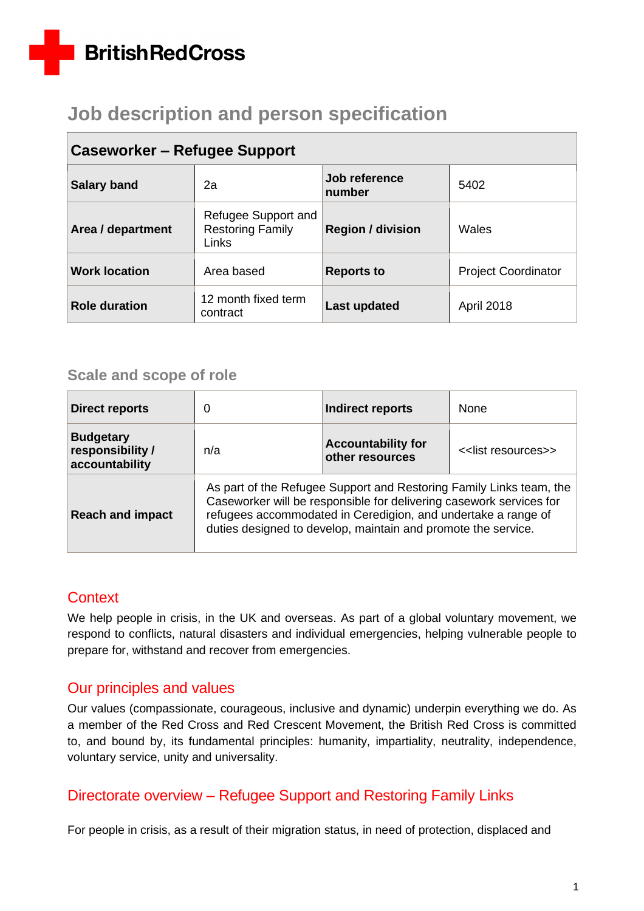# **BritishRedCross**

# **Job description and person specification**

| Caseworker – Refugee Support |                                                         |                          |                            |  |
|------------------------------|---------------------------------------------------------|--------------------------|----------------------------|--|
| <b>Salary band</b>           | 2a                                                      | Job reference<br>number  | 5402                       |  |
| Area / department            | Refugee Support and<br><b>Restoring Family</b><br>Links | <b>Region / division</b> | Wales                      |  |
| <b>Work location</b>         | Area based                                              | <b>Reports to</b>        | <b>Project Coordinator</b> |  |
| <b>Role duration</b>         | 12 month fixed term<br>contract                         | Last updated             | <b>April 2018</b>          |  |

## **Caseworker – Refugee Support**

## **Scale and scope of role**

| <b>Direct reports</b>                                  | 0                                                                                                                                                                                                                                                                            | Indirect reports                             | <b>None</b>         |
|--------------------------------------------------------|------------------------------------------------------------------------------------------------------------------------------------------------------------------------------------------------------------------------------------------------------------------------------|----------------------------------------------|---------------------|
| <b>Budgetary</b><br>responsibility /<br>accountability | n/a                                                                                                                                                                                                                                                                          | <b>Accountability for</b><br>other resources | << list resources>> |
| <b>Reach and impact</b>                                | As part of the Refugee Support and Restoring Family Links team, the<br>Caseworker will be responsible for delivering casework services for<br>refugees accommodated in Ceredigion, and undertake a range of<br>duties designed to develop, maintain and promote the service. |                                              |                     |

## **Context**

We help people in crisis, in the UK and overseas. As part of a global voluntary movement, we respond to conflicts, natural disasters and individual emergencies, helping vulnerable people to prepare for, withstand and recover from emergencies.

## Our principles and values

Our values (compassionate, courageous, inclusive and dynamic) underpin everything we do. As a member of the Red Cross and Red Crescent Movement, the British Red Cross is committed to, and bound by, its fundamental principles: humanity, impartiality, neutrality, independence, voluntary service, unity and universality.

## Directorate overview – Refugee Support and Restoring Family Links

For people in crisis, as a result of their migration status, in need of protection, displaced and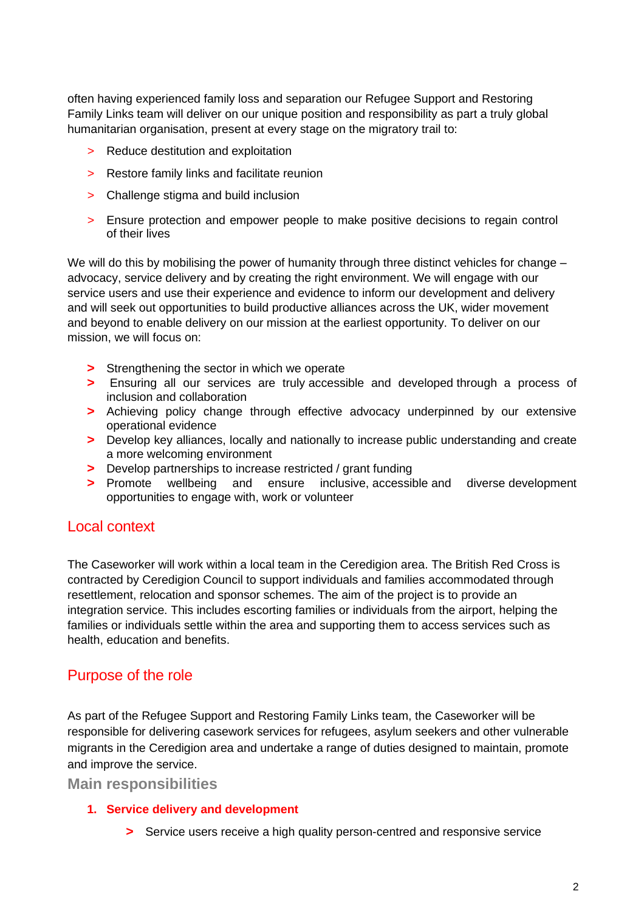often having experienced family loss and separation our Refugee Support and Restoring Family Links team will deliver on our unique position and responsibility as part a truly global humanitarian organisation, present at every stage on the migratory trail to:

- > Reduce destitution and exploitation
- > Restore family links and facilitate reunion
- > Challenge stigma and build inclusion
- > Ensure protection and empower people to make positive decisions to regain control of their lives

We will do this by mobilising the power of humanity through three distinct vehicles for change – advocacy, service delivery and by creating the right environment. We will engage with our service users and use their experience and evidence to inform our development and delivery and will seek out opportunities to build productive alliances across the UK, wider movement and beyond to enable delivery on our mission at the earliest opportunity. To deliver on our mission, we will focus on:

- **>** Strengthening the sector in which we operate
- **>** Ensuring all our services are truly accessible and developed through a process of inclusion and collaboration
- **>** Achieving policy change through effective advocacy underpinned by our extensive operational evidence
- **>** Develop key alliances, locally and nationally to increase public understanding and create a more welcoming environment
- **>** Develop partnerships to increase restricted / grant funding
- **>** Promote wellbeing and ensure inclusive, accessible and diverse development opportunities to engage with, work or volunteer

### Local context

The Caseworker will work within a local team in the Ceredigion area. The British Red Cross is contracted by Ceredigion Council to support individuals and families accommodated through resettlement, relocation and sponsor schemes. The aim of the project is to provide an integration service. This includes escorting families or individuals from the airport, helping the families or individuals settle within the area and supporting them to access services such as health, education and benefits.

## Purpose of the role

As part of the Refugee Support and Restoring Family Links team, the Caseworker will be responsible for delivering casework services for refugees, asylum seekers and other vulnerable migrants in the Ceredigion area and undertake a range of duties designed to maintain, promote and improve the service.

**Main responsibilities**

#### **1. Service delivery and development**

**>** Service users receive a high quality person-centred and responsive service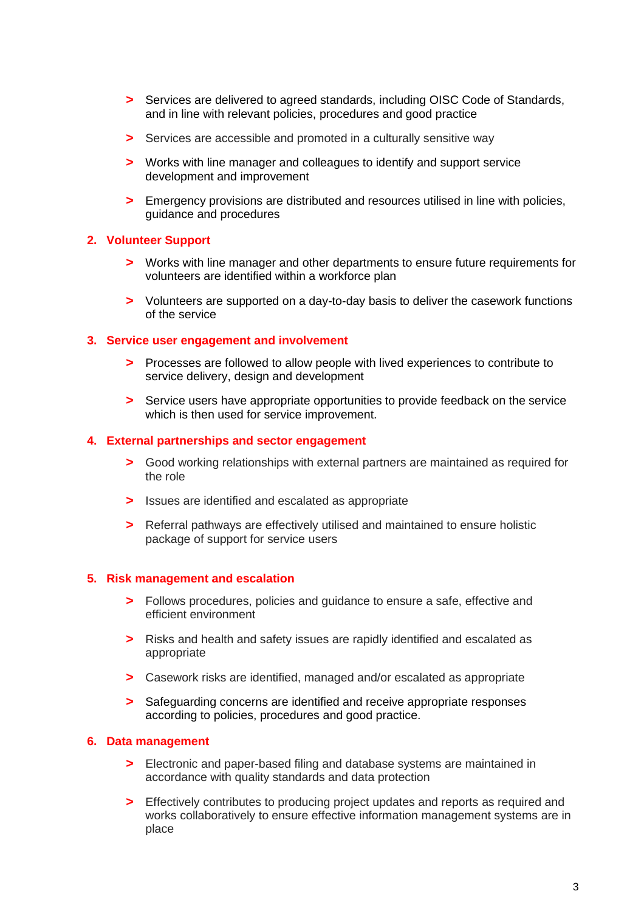- **>** Services are delivered to agreed standards, including OISC Code of Standards, and in line with relevant policies, procedures and good practice
- **>** Services are accessible and promoted in a culturally sensitive way
- **>** Works with line manager and colleagues to identify and support service development and improvement
- **>** Emergency provisions are distributed and resources utilised in line with policies, guidance and procedures

#### **2. Volunteer Support**

- **>** Works with line manager and other departments to ensure future requirements for volunteers are identified within a workforce plan
- **>** Volunteers are supported on a day-to-day basis to deliver the casework functions of the service

#### **3. Service user engagement and involvement**

- **>** Processes are followed to allow people with lived experiences to contribute to service delivery, design and development
- **>** Service users have appropriate opportunities to provide feedback on the service which is then used for service improvement.

#### **4. External partnerships and sector engagement**

- **>** Good working relationships with external partners are maintained as required for the role
- **>** Issues are identified and escalated as appropriate
- **>** Referral pathways are effectively utilised and maintained to ensure holistic package of support for service users

#### **5. Risk management and escalation**

- **>** Follows procedures, policies and guidance to ensure a safe, effective and efficient environment
- **>** Risks and health and safety issues are rapidly identified and escalated as appropriate
- **>** Casework risks are identified, managed and/or escalated as appropriate
- **>** Safeguarding concerns are identified and receive appropriate responses according to policies, procedures and good practice.

#### **6. Data management**

- **>** Electronic and paper-based filing and database systems are maintained in accordance with quality standards and data protection
- **>** Effectively contributes to producing project updates and reports as required and works collaboratively to ensure effective information management systems are in place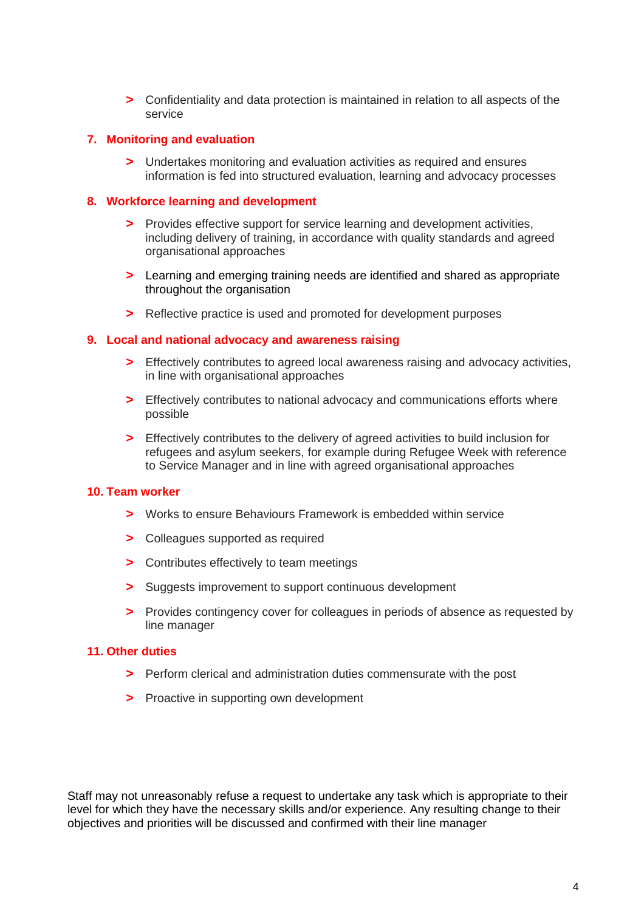**>** Confidentiality and data protection is maintained in relation to all aspects of the service

#### **7. Monitoring and evaluation**

**>** Undertakes monitoring and evaluation activities as required and ensures information is fed into structured evaluation, learning and advocacy processes

#### **8. Workforce learning and development**

- **>** Provides effective support for service learning and development activities, including delivery of training, in accordance with quality standards and agreed organisational approaches
- **>** Learning and emerging training needs are identified and shared as appropriate throughout the organisation
- **>** Reflective practice is used and promoted for development purposes

#### **9. Local and national advocacy and awareness raising**

- **>** Effectively contributes to agreed local awareness raising and advocacy activities, in line with organisational approaches
- **>** Effectively contributes to national advocacy and communications efforts where possible
- **>** Effectively contributes to the delivery of agreed activities to build inclusion for refugees and asylum seekers, for example during Refugee Week with reference to Service Manager and in line with agreed organisational approaches

#### **10. Team worker**

- **>** Works to ensure Behaviours Framework is embedded within service
- **>** Colleagues supported as required
- **>** Contributes effectively to team meetings
- **>** Suggests improvement to support continuous development
- **>** Provides contingency cover for colleagues in periods of absence as requested by line manager

#### **11. Other duties**

- **>** Perform clerical and administration duties commensurate with the post
- **>** Proactive in supporting own development

Staff may not unreasonably refuse a request to undertake any task which is appropriate to their level for which they have the necessary skills and/or experience. Any resulting change to their objectives and priorities will be discussed and confirmed with their line manager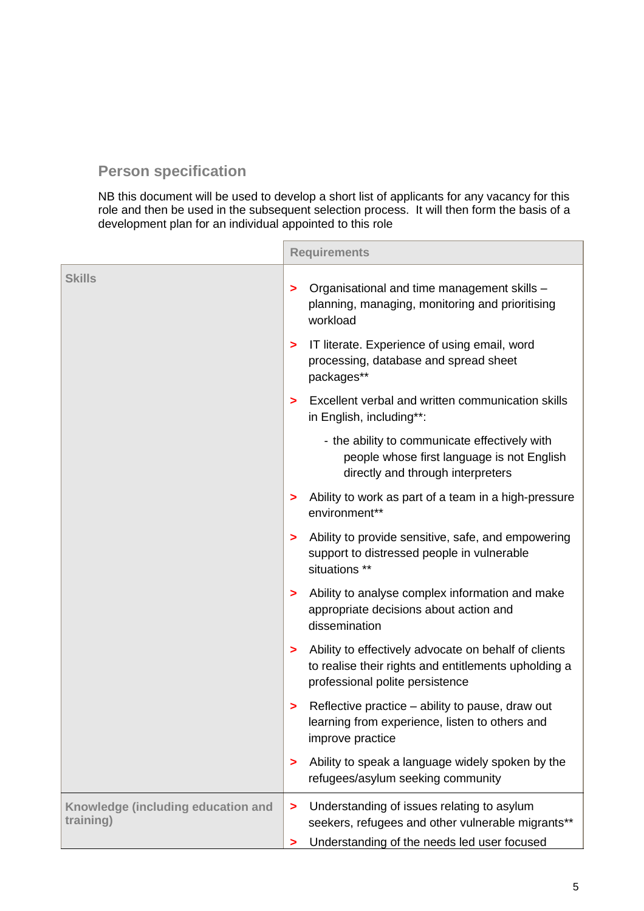## **Person specification**

NB this document will be used to develop a short list of applicants for any vacancy for this role and then be used in the subsequent selection process. It will then form the basis of a development plan for an individual appointed to this role

|                                                 | <b>Requirements</b> |                                                                                                                                                 |
|-------------------------------------------------|---------------------|-------------------------------------------------------------------------------------------------------------------------------------------------|
| <b>Skills</b>                                   |                     | Organisational and time management skills -<br>planning, managing, monitoring and prioritising<br>workload                                      |
|                                                 | >                   | IT literate. Experience of using email, word<br>processing, database and spread sheet<br>packages**                                             |
|                                                 | ⋗                   | Excellent verbal and written communication skills<br>in English, including**:                                                                   |
|                                                 |                     | - the ability to communicate effectively with<br>people whose first language is not English<br>directly and through interpreters                |
|                                                 | >                   | Ability to work as part of a team in a high-pressure<br>environment**                                                                           |
|                                                 | >                   | Ability to provide sensitive, safe, and empowering<br>support to distressed people in vulnerable<br>situations **                               |
|                                                 | >                   | Ability to analyse complex information and make<br>appropriate decisions about action and<br>dissemination                                      |
|                                                 | >                   | Ability to effectively advocate on behalf of clients<br>to realise their rights and entitlements upholding a<br>professional polite persistence |
|                                                 | >                   | Reflective practice – ability to pause, draw out<br>learning from experience, listen to others and<br>improve practice                          |
|                                                 | >                   | Ability to speak a language widely spoken by the<br>refugees/asylum seeking community                                                           |
| Knowledge (including education and<br>training) | >                   | Understanding of issues relating to asylum<br>seekers, refugees and other vulnerable migrants**                                                 |
|                                                 | >                   | Understanding of the needs led user focused                                                                                                     |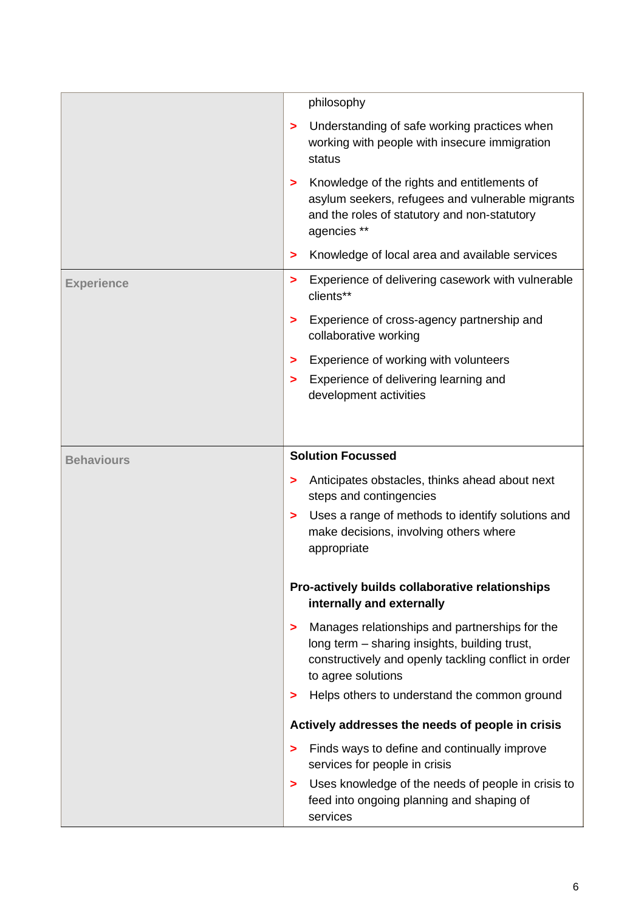|                   | philosophy                                                                                                                                                                         |
|-------------------|------------------------------------------------------------------------------------------------------------------------------------------------------------------------------------|
|                   | Understanding of safe working practices when<br>><br>working with people with insecure immigration<br>status                                                                       |
|                   | Knowledge of the rights and entitlements of<br>><br>asylum seekers, refugees and vulnerable migrants<br>and the roles of statutory and non-statutory<br>agencies **                |
|                   | Knowledge of local area and available services<br>>                                                                                                                                |
| <b>Experience</b> | Experience of delivering casework with vulnerable<br>><br>clients**                                                                                                                |
|                   | Experience of cross-agency partnership and<br>><br>collaborative working                                                                                                           |
|                   | Experience of working with volunteers<br>>                                                                                                                                         |
|                   | Experience of delivering learning and<br>><br>development activities                                                                                                               |
|                   | <b>Solution Focussed</b>                                                                                                                                                           |
| <b>Behaviours</b> |                                                                                                                                                                                    |
|                   | Anticipates obstacles, thinks ahead about next<br>><br>steps and contingencies                                                                                                     |
|                   | Uses a range of methods to identify solutions and<br>><br>make decisions, involving others where<br>appropriate                                                                    |
|                   | Pro-actively builds collaborative relationships<br>internally and externally                                                                                                       |
|                   | Manages relationships and partnerships for the<br>><br>long term - sharing insights, building trust,<br>constructively and openly tackling conflict in order<br>to agree solutions |
|                   | Helps others to understand the common ground<br>>                                                                                                                                  |
|                   | Actively addresses the needs of people in crisis                                                                                                                                   |
|                   | Finds ways to define and continually improve<br>><br>services for people in crisis                                                                                                 |
|                   | Uses knowledge of the needs of people in crisis to<br>><br>feed into ongoing planning and shaping of<br>services                                                                   |